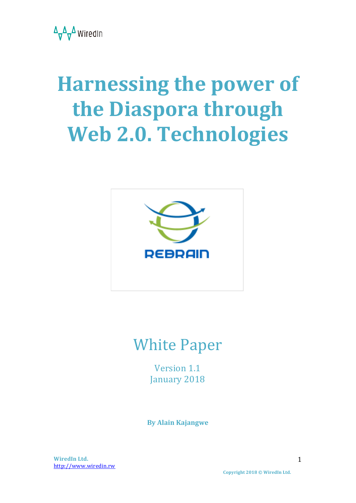

# **Harnessing the power of the Diaspora through** Web 2.0. Technologies



# **White Paper**

Version 1.1 January 2018

**By Alain Kajangwe**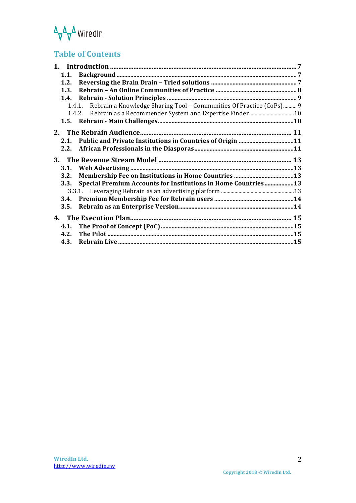# $\Delta_{\overline{V}}\Delta_{\overline{V}}\Delta$  WiredIn

### **Table of Contents**

| 1.1.         |                                                                            |  |
|--------------|----------------------------------------------------------------------------|--|
| 1.2.         |                                                                            |  |
| 1.3.         |                                                                            |  |
|              |                                                                            |  |
|              | 1.4.1. Rebrain a Knowledge Sharing Tool - Communities Of Practice (CoPs) 9 |  |
|              |                                                                            |  |
|              |                                                                            |  |
|              |                                                                            |  |
| 2.1.         |                                                                            |  |
| 2.2.         |                                                                            |  |
|              |                                                                            |  |
|              |                                                                            |  |
|              |                                                                            |  |
|              |                                                                            |  |
| 3.2.         |                                                                            |  |
| 3.3.         | <b>Special Premium Accounts for Institutions in Home Countries13</b>       |  |
|              |                                                                            |  |
|              |                                                                            |  |
| 3.5.         |                                                                            |  |
|              |                                                                            |  |
|              |                                                                            |  |
|              |                                                                            |  |
| 4.2.<br>4.3. |                                                                            |  |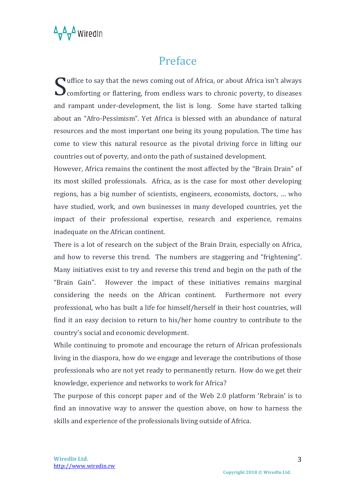

### Preface

 $\bigcap$  uffice to say that the news coming out of Africa, or about Africa isn't always Suffice to say that the news coming out of Africa, or about Africa isn't always<br>
comforting or flattering, from endless wars to chronic poverty, to diseases and rampant under-development, the list is long. Some have started talking about an "Afro-Pessimism". Yet Africa is blessed with an abundance of natural resources and the most important one being its young population. The time has come to view this natural resource as the pivotal driving force in lifting our countries out of poverty, and onto the path of sustained development.

However, Africa remains the continent the most affected by the "Brain Drain" of its most skilled professionals. Africa, as is the case for most other developing regions, has a big number of scientists, engineers, economists, doctors, ... who have studied, work, and own businesses in many developed countries, yet the impact of their professional expertise, research and experience, remains inadequate on the African continent.

There is a lot of research on the subject of the Brain Drain, especially on Africa, and how to reverse this trend. The numbers are staggering and "frightening". Many initiatives exist to try and reverse this trend and begin on the path of the "Brain Gain". However the impact of these initiatives remains marginal considering the needs on the African continent. Furthermore not every professional, who has built a life for himself/herself in their host countries, will find it an easy decision to return to his/her home country to contribute to the country's social and economic development.

While continuing to promote and encourage the return of African professionals living in the diaspora, how do we engage and leverage the contributions of those professionals who are not yet ready to permanently return. How do we get their knowledge, experience and networks to work for Africa?

The purpose of this concept paper and of the Web 2.0 platform 'Rebrain' is to find an innovative way to answer the question above, on how to harness the skills and experience of the professionals living outside of Africa.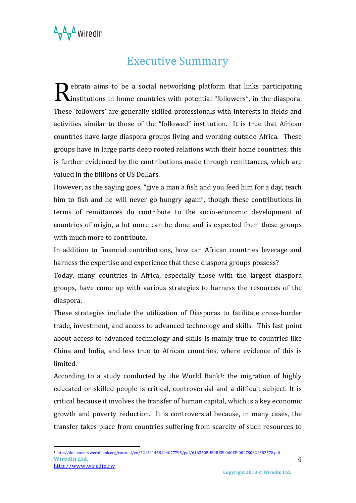### **Executive Summary**

 $\bigcap$  ebrain aims to be a social networking platform that links participating Rebrain aims to be a social networking platform that links participating<br>
Institutions in home countries with potential "followers", in the diaspora. These 'followers' are generally skilled professionals with interests in fields and activities similar to those of the "followed" institution. It is true that African countries have large diaspora groups living and working outside Africa. These groups have in large parts deep rooted relations with their home countries; this is further evidenced by the contributions made through remittances, which are valued in the billions of US Dollars.

However, as the saying goes, "give a man a fish and you feed him for a day, teach him to fish and he will never go hungry again", though these contributions in terms of remittances do contribute to the socio-economic development of countries of origin, a lot more can be done and is expected from these groups with much more to contribute.

In addition to financial contributions, how can African countries leverage and harness the expertise and experience that these diaspora groups possess?

Today, many countries in Africa, especially those with the largest diaspora groups, have come up with various strategies to harness the resources of the diaspora.

These strategies include the utilization of Diasporas to facilitate cross-border trade, investment, and access to advanced technology and skills. This last point about access to advanced technology and skills is mainly true to countries like China and India, and less true to African countries, where evidence of this is limited.

According to a study conducted by the World Bank<sup>1</sup>: the migration of highly educated or skilled people is critical, controversial and a difficult subject. It is critical because it involves the transfer of human capital, which is a key economic growth and poverty reduction. It is controversial because, in many cases, the transfer takes place from countries suffering from scarcity of such resources to

**WiredIn Ltd.**  <sup>1</sup> http://documents.worldbank.org/curated/en/721621468194077795/pdf/616360PUB0REPL0d0EPI009780821382578.pdf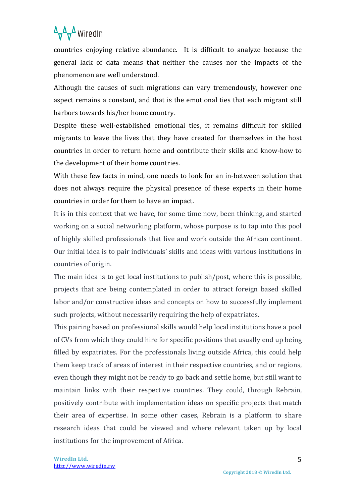### $\Delta_{\overline{V}}\Delta_{\overline{V}}\Delta$  Wiredln

countries enjoving relative abundance. It is difficult to analyze because the general lack of data means that neither the causes nor the impacts of the phenomenon are well understood.

Although the causes of such migrations can vary tremendously, however one aspect remains a constant, and that is the emotional ties that each migrant still harbors towards his/her home country.

Despite these well-established emotional ties, it remains difficult for skilled migrants to leave the lives that they have created for themselves in the host countries in order to return home and contribute their skills and know-how to the development of their home countries.

With these few facts in mind, one needs to look for an in-between solution that does not always require the physical presence of these experts in their home countries in order for them to have an impact.

It is in this context that we have, for some time now, been thinking, and started working on a social networking platform, whose purpose is to tap into this pool of highly skilled professionals that live and work outside the African continent. Our initial idea is to pair individuals' skills and ideas with various institutions in countries of origin.

The main idea is to get local institutions to publish/post, where this is possible, projects that are being contemplated in order to attract foreign based skilled labor and/or constructive ideas and concepts on how to successfully implement such projects, without necessarily requiring the help of expatriates.

This pairing based on professional skills would help local institutions have a pool of CVs from which they could hire for specific positions that usually end up being filled by expatriates. For the professionals living outside Africa, this could help them keep track of areas of interest in their respective countries, and or regions, even though they might not be ready to go back and settle home, but still want to maintain links with their respective countries. They could, through Rebrain, positively contribute with implementation ideas on specific projects that match their area of expertise. In some other cases, Rebrain is a platform to share research ideas that could be viewed and where relevant taken up by local institutions for the improvement of Africa.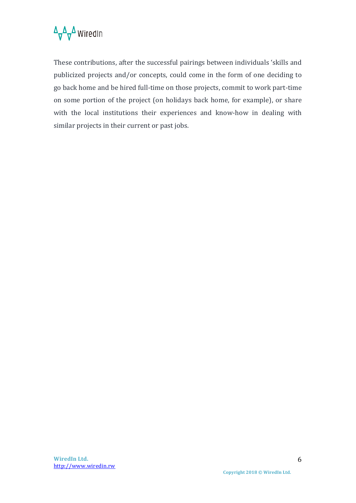

These contributions, after the successful pairings between individuals 'skills and publicized projects and/or concepts, could come in the form of one deciding to go back home and be hired full-time on those projects, commit to work part-time on some portion of the project (on holidays back home, for example), or share with the local institutions their experiences and know-how in dealing with similar projects in their current or past jobs.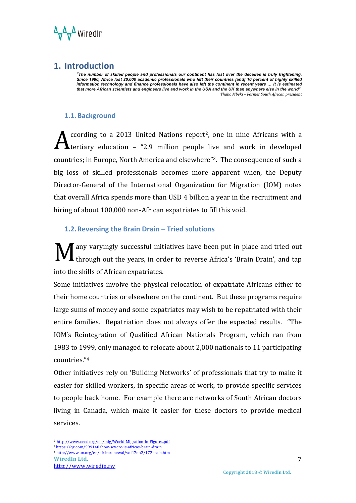A<sub>v</sub>A WiredIn

#### **1. Introduction**

*"The number of skilled people and professionals our continent has lost over the decades is truly frightening.*  Since 1990, Africa lost 20,000 academic professionals who left their countries [and] 10 percent of highly skilled<br>information technology and finance professionals have also left the continent in recent years … It is estima *that more African scientists and engineers live and work in the USA and the UK than anywhere else in the world" Thabo Mbeki – Former South African president*

#### **1.1.Background**

ccording to a 2013 United Nations report<sup>2</sup>, one in nine Africans with a **Leertiary** education  $-$  "2.9 million people live and work in developed countries; in Europe, North America and elsewhere"<sup>3</sup>. The consequence of such a big loss of skilled professionals becomes more apparent when, the Deputy Director-General of the International Organization for Migration (IOM) notes that overall Africa spends more than USD 4 billion a year in the recruitment and hiring of about 100,000 non-African expatriates to fill this void. A

#### **1.2. Reversing the Brain Drain – Tried solutions**

any varyingly successful initiatives have been put in place and tried out I through out the years, in order to reverse Africa's 'Brain Drain', and tap into the skills of African expatriates. M

Some initiatives involve the physical relocation of expatriate Africans either to their home countries or elsewhere on the continent. But these programs require large sums of money and some expatriates may wish to be repatriated with their entire families. Repatriation does not always offer the expected results. "The IOM's Reintegration of Qualified African Nationals Program, which ran from 1983 to 1999, only managed to relocate about 2,000 nationals to 11 participating countries."4

Other initiatives rely on 'Building Networks' of professionals that try to make it easier for skilled workers, in specific areas of work, to provide specific services to people back home. For example there are networks of South African doctors living in Canada, which make it easier for these doctors to provide medical services. 

 

<sup>3</sup> https://qz.com/599140/how-severe-is-africas-brain-drain

<sup>2</sup> http://www.oecd.org/els/mig/World-Migration-in-Figures.pdf

**WiredIn Ltd.** <sup>4</sup> http://www.un.org/en/africarenewal/vol17no2/172brain.htm

http://www.wiredin.rw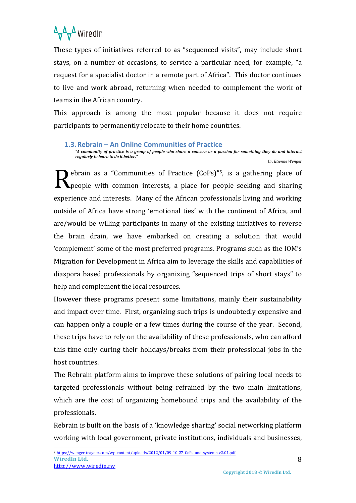### $\Delta_{\overline{V}}\Delta_{\overline{V}}\Delta$  Wiredln

These types of initiatives referred to as "sequenced visits", may include short stays, on a number of occasions, to service a particular need, for example, "a request for a specialist doctor in a remote part of Africa". This doctor continues to live and work abroad, returning when needed to complement the work of teams in the African country.

This approach is among the most popular because it does not require participants to permanently relocate to their home countries.

#### 1.3. Rebrain – An Online Communities of Practice

"A community of practice is a group of people who share a concern or a passion for something they do and interact *regularly to learn to do it better." Dr. Etienne Wenger*

ebrain as a "Communities of Practice  $(CoPs)^{1/5}$ , is a gathering place of people with common interests, a place for people seeking and sharing experience and interests. Many of the African professionals living and working outside of Africa have strong 'emotional ties' with the continent of Africa, and are/would be willing participants in many of the existing initiatives to reverse the brain drain, we have embarked on creating a solution that would 'complement' some of the most preferred programs. Programs such as the IOM's Migration for Development in Africa aim to leverage the skills and capabilities of diaspora based professionals by organizing "sequenced trips of short stays" to help and complement the local resources. R

However these programs present some limitations, mainly their sustainability and impact over time. First, organizing such trips is undoubtedly expensive and can happen only a couple or a few times during the course of the year. Second, these trips have to rely on the availability of these professionals, who can afford this time only during their holidays/breaks from their professional jobs in the host countries.

The Rebrain platform aims to improve these solutions of pairing local needs to targeted professionals without being refrained by the two main limitations, which are the cost of organizing homebound trips and the availability of the professionals. 

Rebrain is built on the basis of a 'knowledge sharing' social networking platform working with local government, private institutions, individuals and businesses,

**WiredIn Ltd.**  <sup>5</sup> https://wenger-trayner.com/wp-content/uploads/2012/01/09-10-27-CoPs-and-systems-v2.01.pdf

http://www.wiredin.rw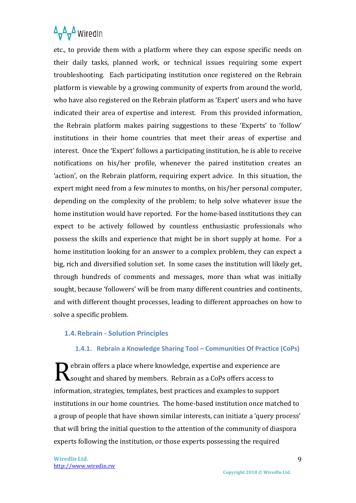

etc., to provide them with a platform where they can expose specific needs on their daily tasks, planned work, or technical issues requiring some expert troubleshooting. Each participating institution once registered on the Rebrain platform is viewable by a growing community of experts from around the world, who have also registered on the Rebrain platform as 'Expert' users and who have indicated their area of expertise and interest. From this provided information, the Rebrain platform makes pairing suggestions to these 'Experts' to 'follow' institutions in their home countries that meet their areas of expertise and interest. Once the 'Expert' follows a participating institution, he is able to receive notifications on his/her profile, whenever the paired institution creates an 'action', on the Rebrain platform, requiring expert advice. In this situation, the expert might need from a few minutes to months, on his/her personal computer, depending on the complexity of the problem; to help solve whatever issue the home institution would have reported. For the home-based institutions they can expect to be actively followed by countless enthusiastic professionals who possess the skills and experience that might be in short supply at home. For a home institution looking for an answer to a complex problem, they can expect a big, rich and diversified solution set. In some cases the institution will likely get, through hundreds of comments and messages, more than what was initially sought, because 'followers' will be from many different countries and continents, and with different thought processes, leading to different approaches on how to solve a specific problem.

#### **1.4. Rebrain - Solution Principles**

#### 1.4.1. **Rebrain a Knowledge Sharing Tool – Communities Of Practice (CoPs)**

Rebrain offers a place where knowledge, expertise and experience are<br>Resought and shared by members. Rebrain as a CoPs offers access to sought and shared by members. Rebrain as a CoPs offers access to information, strategies, templates, best practices and examples to support institutions in our home countries. The home-based institution once matched to a group of people that have shown similar interests, can initiate a 'query process' that will bring the initial question to the attention of the community of diaspora experts following the institution, or those experts possessing the required

**WiredIn Ltd.** http://www.wiredin.rw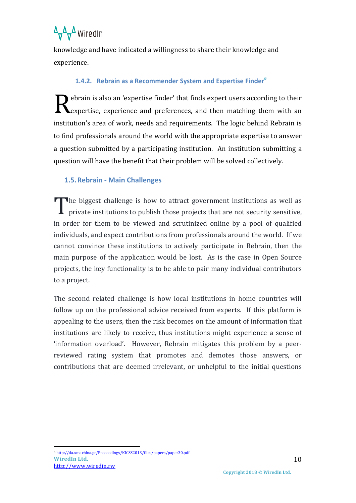### $\Delta_{\overline{V}}\Delta_{\overline{V}}\Delta$  Wiredln

knowledge and have indicated a willingness to share their knowledge and experience.

#### **1.4.2. Rebrain as a Recommender System and Expertise Finder**<sup>6</sup>

ebrain is also an 'expertise finder' that finds expert users according to their Rebrain is also an 'expertise finder' that finds expert users according to their<br>Rexpertise, experience and preferences, and then matching them with an institution's area of work, needs and requirements. The logic behind Rebrain is to find professionals around the world with the appropriate expertise to answer a question submitted by a participating institution. An institution submitting a question will have the benefit that their problem will be solved collectively.

#### **1.5.Rebrain - Main Challenges**

The biggest challenge is how to attract government institutions as well as The biggest challenge is how to attract government institutions as well as private institutions to publish those projects that are not security sensitive, in order for them to be viewed and scrutinized online by a pool of qualified individuals, and expect contributions from professionals around the world. If we cannot convince these institutions to actively participate in Rebrain, then the main purpose of the application would be lost. As is the case in Open Source projects, the key functionality is to be able to pair many individual contributors to a project.

The second related challenge is how local institutions in home countries will follow up on the professional advice received from experts. If this platform is appealing to the users, then the risk becomes on the amount of information that institutions are likely to receive, thus institutions might experience a sense of 'information overload'. However, Rebrain mitigates this problem by a peerreviewed rating system that promotes and demotes those answers, or contributions that are deemed irrelevant, or unhelpful to the initial questions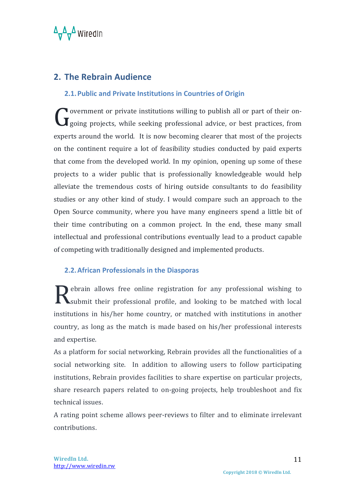

#### **2. The Rebrain Audience**

#### **2.1. Public and Private Institutions in Countries of Origin**

• overnment or private institutions willing to publish all or part of their on-Government or private institutions willing to publish all or part of their on-<br>Going projects, while seeking professional advice, or best practices, from experts around the world. It is now becoming clearer that most of the projects on the continent require a lot of feasibility studies conducted by paid experts that come from the developed world. In my opinion, opening up some of these projects to a wider public that is professionally knowledgeable would help alleviate the tremendous costs of hiring outside consultants to do feasibility studies or any other kind of study. I would compare such an approach to the Open Source community, where you have many engineers spend a little bit of their time contributing on a common project. In the end, these many small intellectual and professional contributions eventually lead to a product capable of competing with traditionally designed and implemented products.

#### **2.2. African Professionals in the Diasporas**

Rebrain allows free online registration for any professional wishing to Submit their professional profile, and looking to be matched with local submit their professional profile, and looking to be matched with local institutions in his/her home country, or matched with institutions in another country, as long as the match is made based on his/her professional interests and expertise.

As a platform for social networking, Rebrain provides all the functionalities of a social networking site. In addition to allowing users to follow participating institutions, Rebrain provides facilities to share expertise on particular projects, share research papers related to on-going projects, help troubleshoot and fix technical issues.

A rating point scheme allows peer-reviews to filter and to eliminate irrelevant contributions.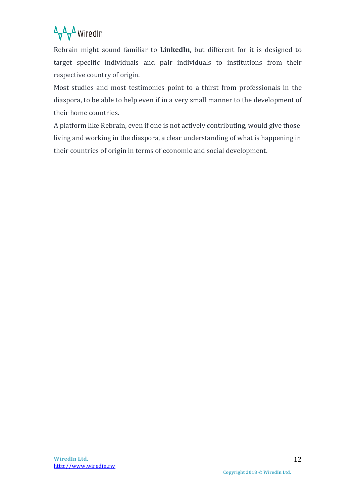### $\Delta_{\mathbf{V}}\Delta_{\mathbf{V}}\Delta$  Wiredln

Rebrain might sound familiar to **LinkedIn**, but different for it is designed to target specific individuals and pair individuals to institutions from their respective country of origin.

Most studies and most testimonies point to a thirst from professionals in the diaspora, to be able to help even if in a very small manner to the development of their home countries.

A platform like Rebrain, even if one is not actively contributing, would give those living and working in the diaspora, a clear understanding of what is happening in their countries of origin in terms of economic and social development.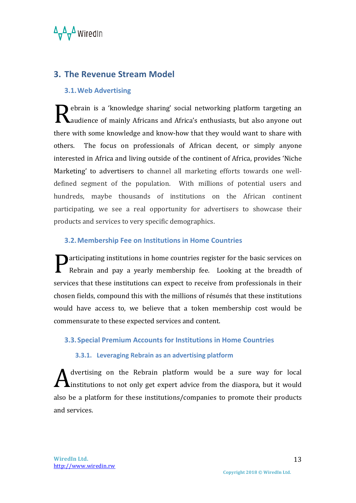

#### **3. The Revenue Stream Model**

#### **3.1.Web Advertising**

Rebrain is a 'knowledge sharing' social networking platform targeting an and also anyone out also anyone out **Laudience of mainly Africans and Africa's enthusiasts, but also anyone out** there with some knowledge and know-how that they would want to share with others. The focus on professionals of African decent, or simply anyone interested in Africa and living outside of the continent of Africa, provides 'Niche Marketing' to advertisers to channel all marketing efforts towards one welldefined segment of the population. With millions of potential users and hundreds, maybe thousands of institutions on the African continent participating, we see a real opportunity for advertisers to showcase their products and services to very specific demographics.

#### **3.2.Membership Fee on Institutions in Home Countries**

**P**articipating institutions in home countries register for the basic services on Rebrain and pay a yearly membership fee. Looking at the breadth of Rebrain and pay a yearly membership fee. Looking at the breadth of services that these institutions can expect to receive from professionals in their chosen fields, compound this with the millions of résumés that these institutions would have access to, we believe that a token membership cost would be commensurate to these expected services and content.

#### **3.3. Special Premium Accounts for Institutions in Home Countries**

#### **3.3.1.** Leveraging Rebrain as an advertising platform

dvertising on the Rebrain platform would be a sure way for local A dvertising on the Rebrain platform would be a sure way for local<br>
institutions to not only get expert advice from the diaspora, but it would also be a platform for these institutions/companies to promote their products and services.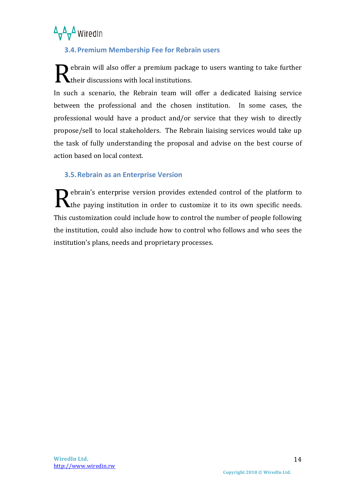

#### **3.4.Premium Membership Fee for Rebrain users**

Rebrain will also offer a premium package to users wanting to take further<br>
their discussions with local institutions.  $\blacktriangle$ their discussions with local institutions.

In such a scenario, the Rebrain team will offer a dedicated liaising service between the professional and the chosen institution. In some cases, the professional would have a product and/or service that they wish to directly propose/sell to local stakeholders. The Rebrain liaising services would take up the task of fully understanding the proposal and advise on the best course of action based on local context.

#### **3.5. Rebrain as an Enterprise Version**

ebrain's enterprise version provides extended control of the platform to Rebrain's enterprise version provides extended control of the platform to the paying institution in order to customize it to its own specific needs. This customization could include how to control the number of people following the institution, could also include how to control who follows and who sees the institution's plans, needs and proprietary processes.